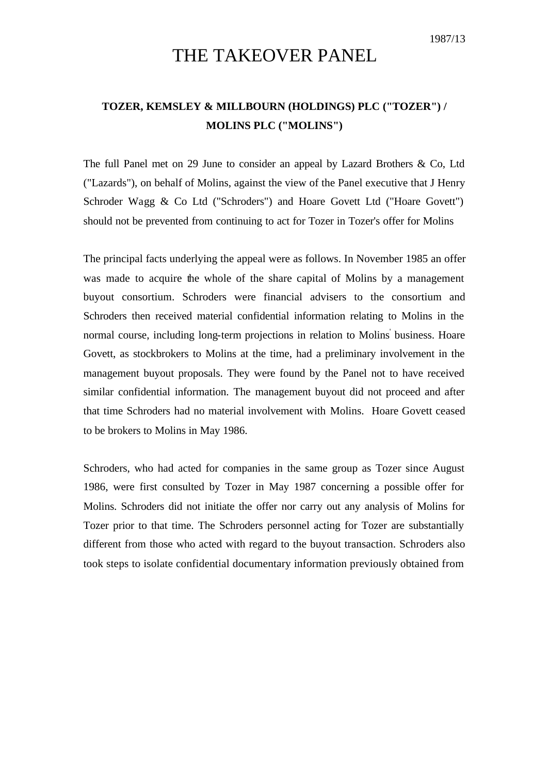## THE TAKEOVER PANEL

## **TOZER, KEMSLEY & MILLBOURN (HOLDINGS) PLC ("TOZER") / MOLINS PLC ("MOLINS")**

The full Panel met on 29 June to consider an appeal by Lazard Brothers & Co, Ltd ("Lazards"), on behalf of Molins, against the view of the Panel executive that J Henry Schroder Wagg & Co Ltd ("Schroders") and Hoare Govett Ltd ("Hoare Govett") should not be prevented from continuing to act for Tozer in Tozer's offer for Molins

The principal facts underlying the appeal were as follows. In November 1985 an offer was made to acquire the whole of the share capital of Molins by a management buyout consortium. Schroders were financial advisers to the consortium and Schroders then received material confidential information relating to Molins in the normal course, including long-term projections in relation to Molins business. Hoare Govett, as stockbrokers to Molins at the time, had a preliminary involvement in the management buyout proposals. They were found by the Panel not to have received similar confidential information. The management buyout did not proceed and after that time Schroders had no material involvement with Molins. Hoare Govett ceased to be brokers to Molins in May 1986.

Schroders, who had acted for companies in the same group as Tozer since August 1986, were first consulted by Tozer in May 1987 concerning a possible offer for Molins. Schroders did not initiate the offer nor carry out any analysis of Molins for Tozer prior to that time. The Schroders personnel acting for Tozer are substantially different from those who acted with regard to the buyout transaction. Schroders also took steps to isolate confidential documentary information previously obtained from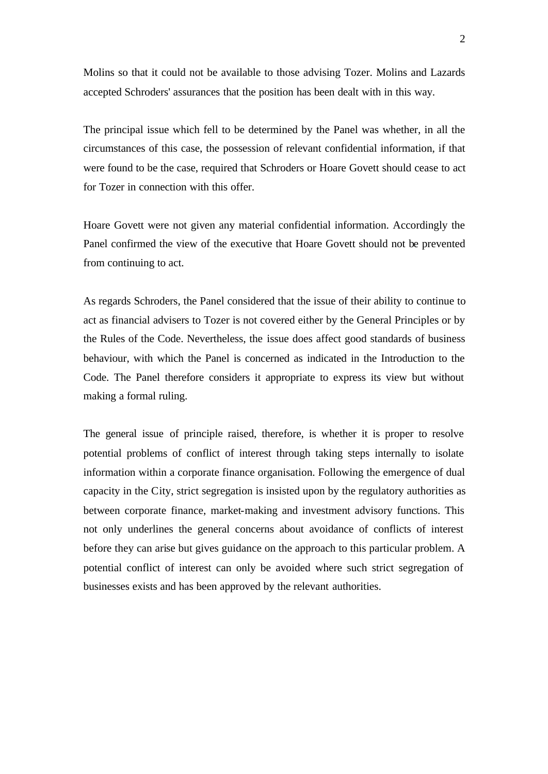Molins so that it could not be available to those advising Tozer. Molins and Lazards accepted Schroders' assurances that the position has been dealt with in this way.

The principal issue which fell to be determined by the Panel was whether, in all the circumstances of this case, the possession of relevant confidential information, if that were found to be the case, required that Schroders or Hoare Govett should cease to act for Tozer in connection with this offer.

Hoare Govett were not given any material confidential information. Accordingly the Panel confirmed the view of the executive that Hoare Govett should not be prevented from continuing to act.

As regards Schroders, the Panel considered that the issue of their ability to continue to act as financial advisers to Tozer is not covered either by the General Principles or by the Rules of the Code. Nevertheless, the issue does affect good standards of business behaviour, with which the Panel is concerned as indicated in the Introduction to the Code. The Panel therefore considers it appropriate to express its view but without making a formal ruling.

The general issue of principle raised, therefore, is whether it is proper to resolve potential problems of conflict of interest through taking steps internally to isolate information within a corporate finance organisation. Following the emergence of dual capacity in the City, strict segregation is insisted upon by the regulatory authorities as between corporate finance, market-making and investment advisory functions. This not only underlines the general concerns about avoidance of conflicts of interest before they can arise but gives guidance on the approach to this particular problem. A potential conflict of interest can only be avoided where such strict segregation of businesses exists and has been approved by the relevant authorities.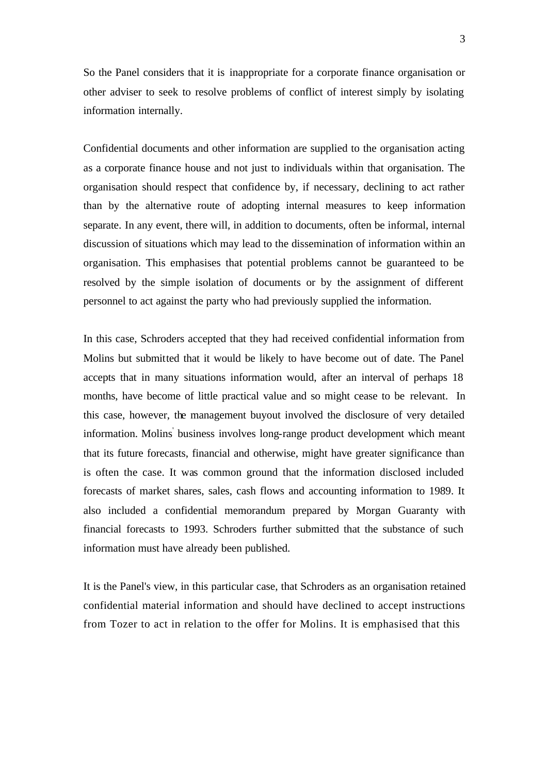So the Panel considers that it is inappropriate for a corporate finance organisation or other adviser to seek to resolve problems of conflict of interest simply by isolating information internally.

Confidential documents and other information are supplied to the organisation acting as a corporate finance house and not just to individuals within that organisation. The organisation should respect that confidence by, if necessary, declining to act rather than by the alternative route of adopting internal measures to keep information separate. In any event, there will, in addition to documents, often be informal, internal discussion of situations which may lead to the dissemination of information within an organisation. This emphasises that potential problems cannot be guaranteed to be resolved by the simple isolation of documents or by the assignment of different personnel to act against the party who had previously supplied the information.

In this case, Schroders accepted that they had received confidential information from Molins but submitted that it would be likely to have become out of date. The Panel accepts that in many situations information would, after an interval of perhaps 18 months, have become of little practical value and so might cease to be relevant. In this case, however, the management buyout involved the disclosure of very detailed information. Molins' business involves long-range product development which meant that its future forecasts, financial and otherwise, might have greater significance than is often the case. It was common ground that the information disclosed included forecasts of market shares, sales, cash flows and accounting information to 1989. It also included a confidential memorandum prepared by Morgan Guaranty with financial forecasts to 1993. Schroders further submitted that the substance of such information must have already been published.

It is the Panel's view, in this particular case, that Schroders as an organisation retained confidential material information and should have declined to accept instructions from Tozer to act in relation to the offer for Molins. It is emphasised that this